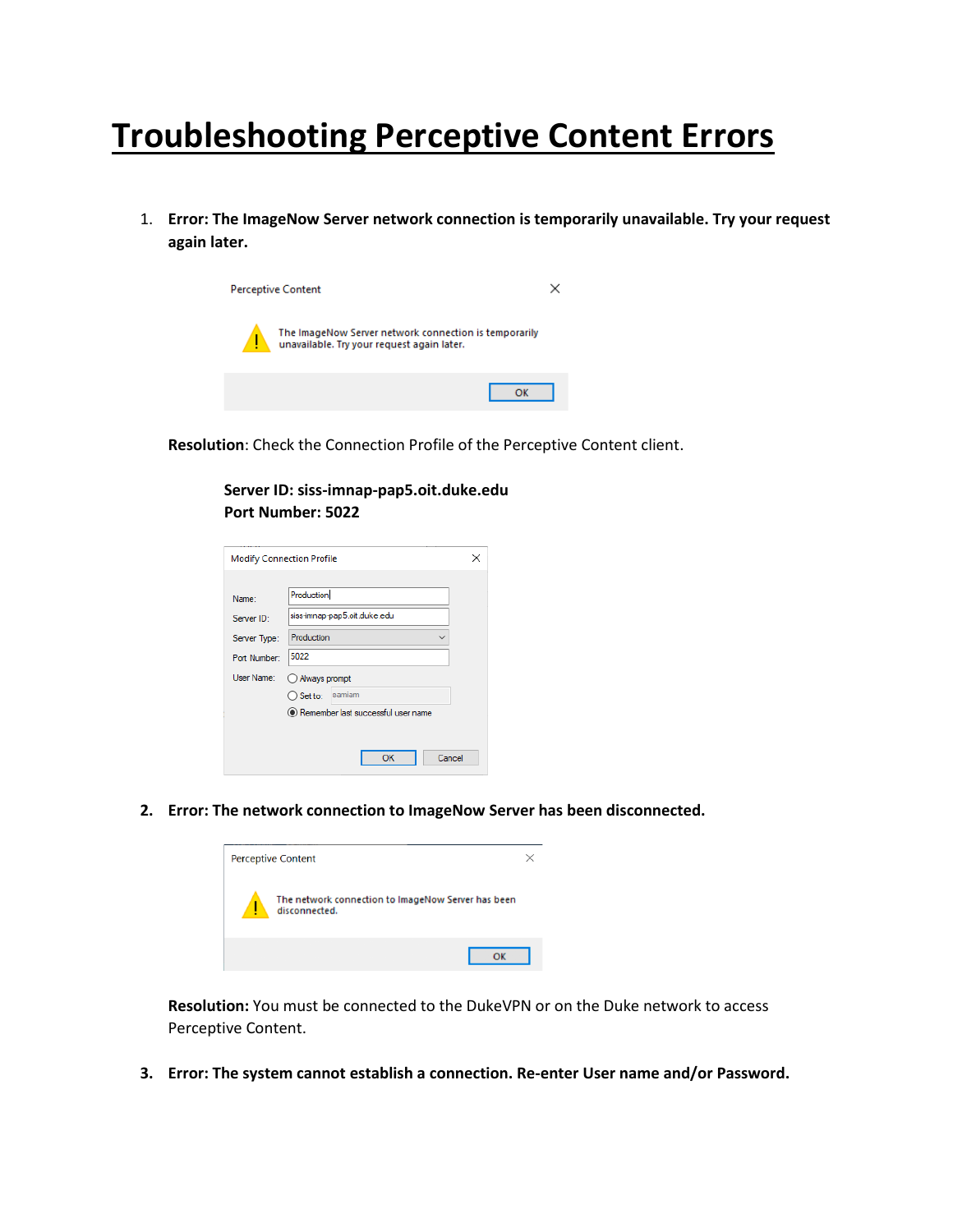# **Troubleshooting Perceptive Content Errors**

1. **Error: The ImageNow Server network connection is temporarily unavailable. Try your request again later.**



**Resolution**: Check the Connection Profile of the Perceptive Content client.

**Server ID: siss-imnap-pap5.oit.duke.edu Port Number: 5022**

|              | <b>Modify Connection Profile</b>   |  |
|--------------|------------------------------------|--|
|              |                                    |  |
| Name:        | Production                         |  |
| Server ID:   | siss-imnap-pap5.oit.duke.edu       |  |
| Server Type: | Production                         |  |
| Port Number: | 5022                               |  |
| User Name:   | ◯ Always prompt                    |  |
|              | samiam<br>$\bigcirc$ Set to:       |  |
|              | Remember last successful user name |  |
|              |                                    |  |
|              | OK<br>Cancel                       |  |

**2. Error: The network connection to ImageNow Server has been disconnected.**



**Resolution:** You must be connected to the DukeVPN or on the Duke network to access Perceptive Content.

**3. Error: The system cannot establish a connection. Re-enter User name and/or Password.**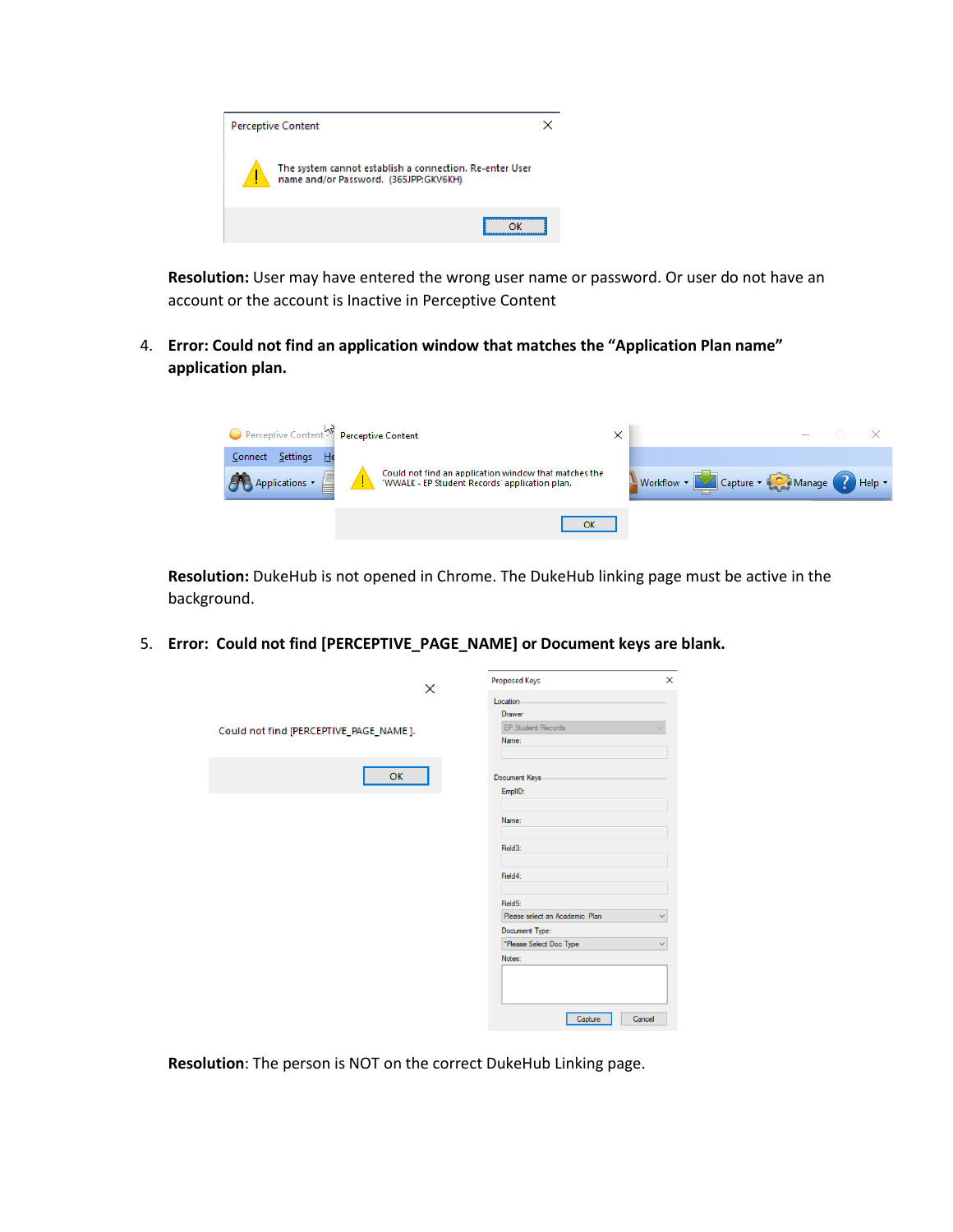

**Resolution:** User may have entered the wrong user name or password. Or user do not have an account or the account is Inactive in Perceptive Content

4. **Error: Could not find an application window that matches the "Application Plan name" application plan.**

| Perceptive Content Perceptive Content |                                                                                                         | × |                                         |
|---------------------------------------|---------------------------------------------------------------------------------------------------------|---|-----------------------------------------|
| Connect Settings He                   |                                                                                                         |   |                                         |
| Applications -                        | Could not find an application window that matches the<br>'WWALK - EP Student Records' application plan. |   | Workflow • Capture • Ca Manage 2 Help • |
|                                       | OK                                                                                                      |   |                                         |

**Resolution:** DukeHub is not opened in Chrome. The DukeHub linking page must be active in the background.

5. **Error: Could not find [PERCEPTIVE\_PAGE\_NAME] or Document keys are blank.**

| ×                                      | ×<br><b>Proposed Keys</b>                      |
|----------------------------------------|------------------------------------------------|
|                                        | Location                                       |
|                                        | <b>Drawer</b>                                  |
| Could not find [PERCEPTIVE_PAGE_NAME]. | <b>EP Student Records</b>                      |
|                                        | Name:                                          |
|                                        |                                                |
| ОK                                     | Document Keys                                  |
|                                        | EmplID:                                        |
|                                        |                                                |
|                                        | Name:                                          |
|                                        |                                                |
|                                        | Field3:                                        |
|                                        |                                                |
|                                        | Field4:                                        |
|                                        |                                                |
|                                        | Field5:                                        |
|                                        | Please select an Academic Plan<br>$\checkmark$ |
|                                        | Document Type:                                 |
|                                        | *Please Select Doc Type<br>$\checkmark$        |
|                                        | Notes:                                         |
|                                        |                                                |
|                                        |                                                |
|                                        |                                                |
|                                        | Capture<br>Cancel                              |
|                                        |                                                |

**Resolution**: The person is NOT on the correct DukeHub Linking page.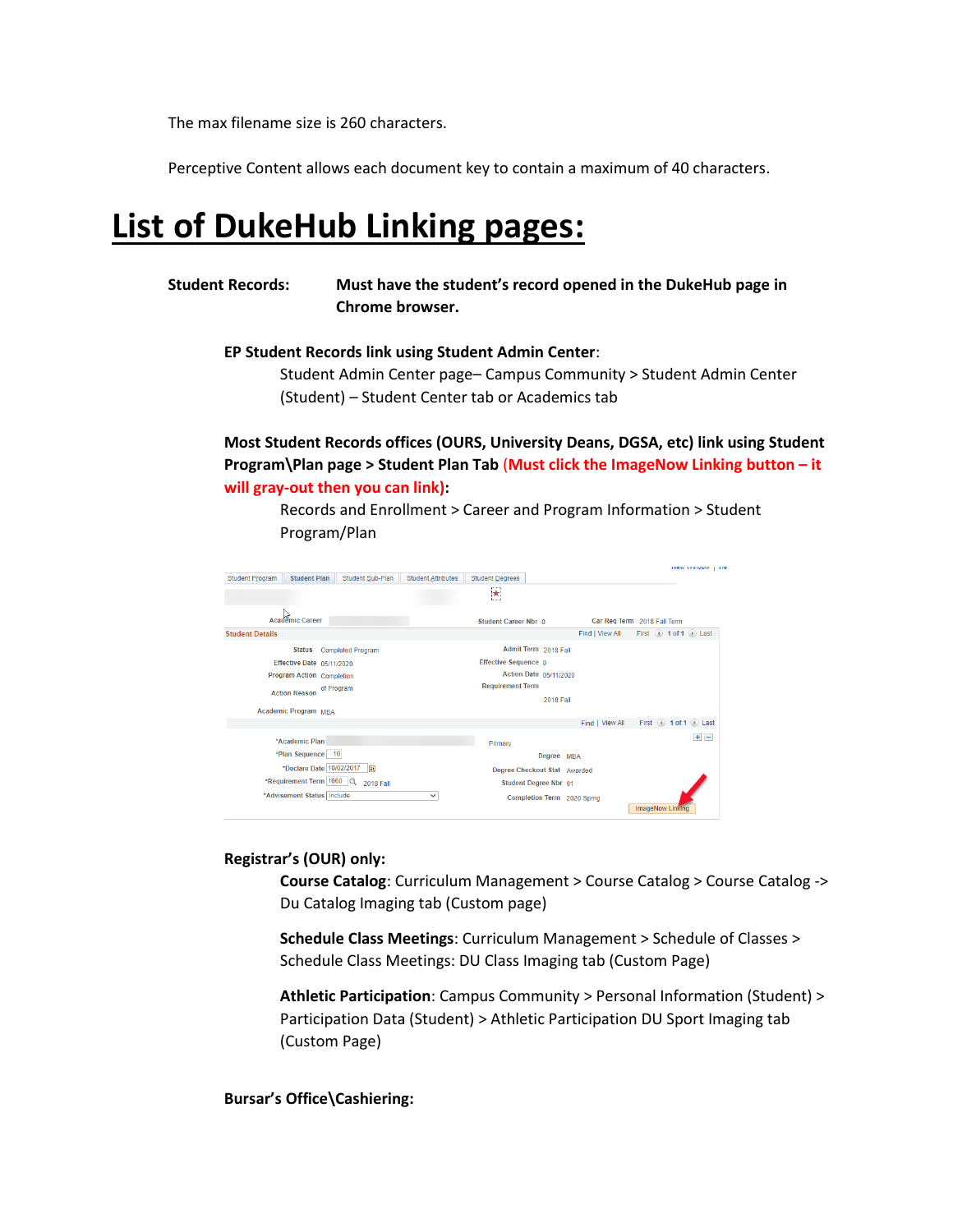The max filename size is 260 characters.

Perceptive Content allows each document key to contain a maximum of 40 characters.

## **List of DukeHub Linking pages:**

**Student Records: Must have the student's record opened in the DukeHub page in Chrome browser.**

**EP Student Records link using Student Admin Center**:

Student Admin Center page– Campus Community > Student Admin Center (Student) – Student Center tab or Academics tab

**Most Student Records offices (OURS, University Deans, DGSA, etc) link using Student Program\Plan page > Student Plan Tab** (**Must click the ImageNow Linking button – it will gray-out then you can link):**

Records and Enrollment > Career and Program Information > Student Program/Plan

|                                                                   |                                                     | <b>INCIV VVIIIUUVI</b><br>110 |
|-------------------------------------------------------------------|-----------------------------------------------------|-------------------------------|
| Student Sub-Plan<br><b>Student Program</b><br><b>Student Plan</b> | <b>Student Attributes</b><br><b>Student Degrees</b> |                               |
|                                                                   | $\star$                                             |                               |
|                                                                   |                                                     |                               |
|                                                                   |                                                     |                               |
| Academic Career                                                   | Car Req Term 2018 Fall Term<br>Student Career Nbr 0 |                               |
| <b>Student Details</b>                                            | Find I View All                                     | First 4 1 of 1 D Last         |
| <b>Status</b><br><b>Completed Program</b>                         | Admit Term 2018 Fall                                |                               |
| Effective Date 05/11/2020                                         | Effective Sequence 0                                |                               |
| Program Action Completion                                         | Action Date 05/11/2020                              |                               |
| of Program                                                        | <b>Requirement Term</b>                             |                               |
| <b>Action Reason</b>                                              | <b>2018 Fall</b>                                    |                               |
| <b>Academic Program MRA</b>                                       |                                                     |                               |
|                                                                   | Find   View All                                     | First 4 1 of 1 1 Last         |
| *Academic Plan                                                    |                                                     | $+$ $-$                       |
|                                                                   | Primary                                             |                               |
| *Plan Sequence 10                                                 | Degree MBA                                          |                               |
| *Declare Date 10/02/2017<br>Ħ                                     | Degree Checkout Stat Awarded                        |                               |
| *Requirement Term 1660 Q<br><b>2018 Fall</b>                      | Student Degree Nbr 01                               |                               |
| *Advisement Status   Include                                      | $\checkmark$<br>Completion Term 2020 Sprng          |                               |
|                                                                   | ImageNow Linking                                    |                               |

#### **Registrar's (OUR) only:**

**Course Catalog**: Curriculum Management > Course Catalog > Course Catalog -> Du Catalog Imaging tab (Custom page)

**Schedule Class Meetings**: Curriculum Management > Schedule of Classes > Schedule Class Meetings: DU Class Imaging tab (Custom Page)

**Athletic Participation**: Campus Community > Personal Information (Student) > Participation Data (Student) > Athletic Participation DU Sport Imaging tab (Custom Page)

**Bursar's Office\Cashiering:**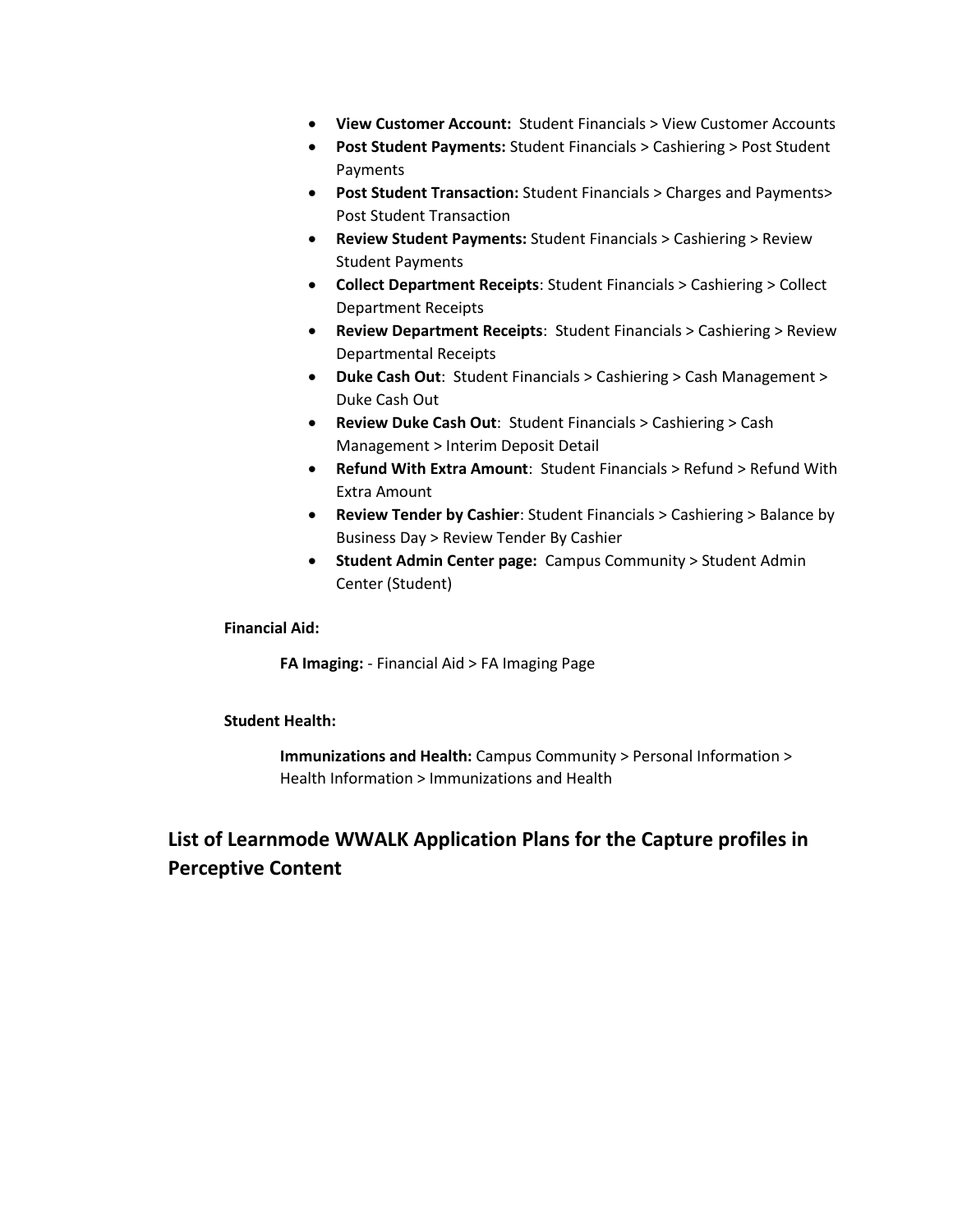- **View Customer Account:** Student Financials > View Customer Accounts
- **Post Student Payments:** Student Financials > Cashiering > Post Student Payments
- **Post Student Transaction:** Student Financials > Charges and Payments> Post Student Transaction
- **Review Student Payments:** Student Financials > Cashiering > Review Student Payments
- **Collect Department Receipts**: Student Financials > Cashiering > Collect Department Receipts
- **Review Department Receipts**: Student Financials > Cashiering > Review Departmental Receipts
- **Duke Cash Out**: Student Financials > Cashiering > Cash Management > Duke Cash Out
- **Review Duke Cash Out**: Student Financials > Cashiering > Cash Management > Interim Deposit Detail
- **Refund With Extra Amount**: Student Financials > Refund > Refund With Extra Amount
- **Review Tender by Cashier**: Student Financials > Cashiering > Balance by Business Day > Review Tender By Cashier
- **Student Admin Center page:** Campus Community > Student Admin Center (Student)

#### **Financial Aid:**

**FA Imaging:** - Financial Aid > FA Imaging Page

#### **Student Health:**

**Immunizations and Health:** Campus Community > Personal Information > Health Information > Immunizations and Health

### **List of Learnmode WWALK Application Plans for the Capture profiles in Perceptive Content**